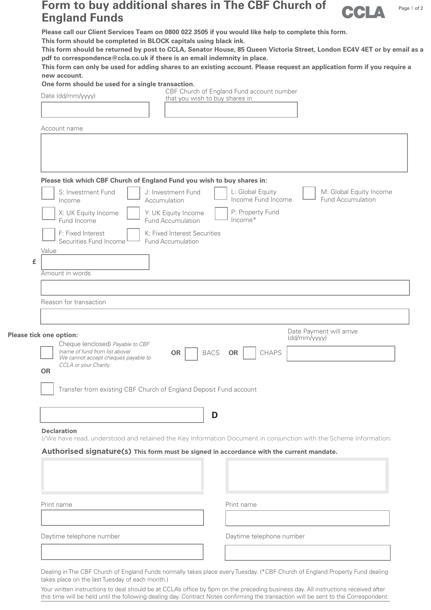## **Form to buy additional shares in The CBF Church of England Funds**



Page 1 of 2

**Please call our Client Services Team on 0800 022 3505 if you would like help to complete this form.** 

**This form should be completed in BLOCK capitals using black ink.** 

**This form should be returned by post to CCLA, Senator House, 85 Queen Victoria Street, London EC4V 4ET or by email as a pdf to correspondence@ccla.co.uk if there is an email indemnity in place.**

**This form can only be used for adding shares to an existing account. Please request an application form if you require a new account.**

**One form should be used for a single transaction.**

Date (dd/mm/yyyy)

CBF Church of England Fund account number that you wish to buy shares in

Account name

|            | L: Global Equity<br>M: Global Equity Income<br>S: Investment Fund<br>J: Investment Fund<br>Income Fund Income<br><b>Fund Accumulation</b><br>Accumulation<br>Income<br>P: Property Fund<br>X: UK Equity Income<br>Y: UK Equity Income<br>$Income*$<br>Fund Income<br>Fund Accumulation<br>F: Fixed Interest<br>K: Fixed Interest Securities<br>Securities Fund Income<br><b>Fund Accumulation</b> |
|------------|---------------------------------------------------------------------------------------------------------------------------------------------------------------------------------------------------------------------------------------------------------------------------------------------------------------------------------------------------------------------------------------------------|
| Value<br>£ |                                                                                                                                                                                                                                                                                                                                                                                                   |
|            | Amount in words                                                                                                                                                                                                                                                                                                                                                                                   |
|            | Date Payment will arrive                                                                                                                                                                                                                                                                                                                                                                          |
| <b>OR</b>  | Please tick one option:<br>(dd/mm/yyyy)<br>Cheque (enclosed) Payable to CBF<br>(name of fund from list above)<br><b>CHAPS</b><br><b>BACS</b><br><b>OR</b><br>OR<br>We cannot accept cheques payable to<br>CCLA or your Charity                                                                                                                                                                    |
|            | Transfer from existing CBF Church of England Deposit Fund account<br>D                                                                                                                                                                                                                                                                                                                            |
|            | <b>Declaration</b><br>I/We have read, understood and retained the Key Information Document in conjunction with the Scheme Information.<br>Authorised signature(s) This form must be signed in accordance with the current mandate.                                                                                                                                                                |

Daytime telephone number Daytime telephone number

Dealing in The CBF Church of England Funds normally takes place every Tuesday. (\*CBF Church of England Property Fund dealing takes place on the last Tuesday of each month.)

Your written instructions to deal should be at CCLA's office by 5pm on the preceding business day. All instructions received after this time will be held until the following dealing day. Contract Notes confirming the transaction will be sent to the Correspondent.